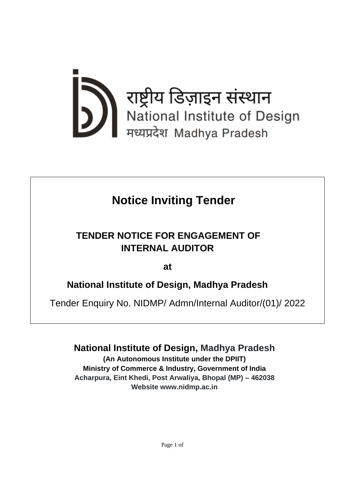

# **Notice Inviting Tender**

## **TENDER NOTICE FOR ENGAGEMENT OF INTERNAL AUDITOR**

**at** 

## **National Institute of Design, Madhya Pradesh**

Tender Enquiry No. NIDMP/ Admn/Internal Auditor/(01)/ 2022

**National Institute of Design, Madhya Pradesh**

**(An Autonomous Institute under the DPIIT) Ministry of Commerce & Industry, Government of India Acharpura, Eint Khedi, Post Arwaliya, Bhopal (MP) – 462038 Website www.nidmp.ac.in**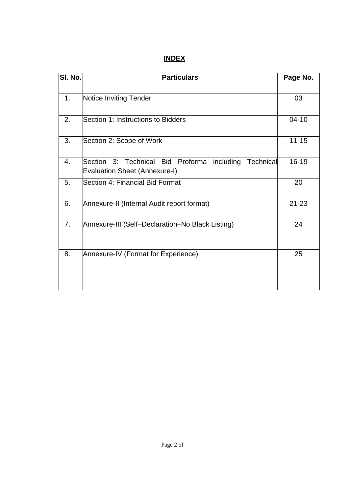## **INDEX**

| SI. No.        | <b>Particulars</b>                                                                               | Page No.  |
|----------------|--------------------------------------------------------------------------------------------------|-----------|
| 1.             | Notice Inviting Tender                                                                           | 03        |
| 2.             | Section 1: Instructions to Bidders                                                               | $04 - 10$ |
| 3.             | Section 2: Scope of Work                                                                         | $11 - 15$ |
| 4.             | Section 3: Technical Bid Proforma including<br>Technical<br><b>Evaluation Sheet (Annexure-I)</b> | 16-19     |
| 5.             | Section 4: Financial Bid Format                                                                  | 20        |
| 6.             | Annexure-II (Internal Audit report format)                                                       | $21 - 23$ |
| 7 <sub>1</sub> | Annexure-III (Self-Declaration-No Black Listing)                                                 | 24        |
| 8.             | Annexure-IV (Format for Experience)                                                              | 25        |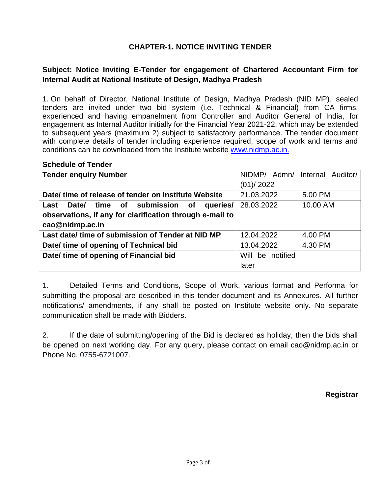#### **CHAPTER-1. NOTICE INVITING TENDER**

## **Subject: Notice Inviting E-Tender for engagement of Chartered Accountant Firm for Internal Audit at National Institute of Design, Madhya Pradesh**

1. On behalf of Director, National Institute of Design, Madhya Pradesh (NID MP), sealed tenders are invited under two bid system (i.e. Technical & Financial) from CA firms, experienced and having empanelment from Controller and Auditor General of India, for engagement as Internal Auditor initially for the Financial Year 2021-22, which may be extended to subsequent years (maximum 2) subject to satisfactory performance. The tender document with complete details of tender including experience required, scope of work and terms and conditions can be downloaded from the Institute website [www.nidmp.ac.in.](http://www.nidmp.ac.in./)

#### **Schedule of Tender**

| <b>Tender enquiry Number</b>                                 | NIDMP/ Admn/ Internal Auditor/ |          |  |
|--------------------------------------------------------------|--------------------------------|----------|--|
|                                                              | (01)/2022                      |          |  |
| Date/ time of release of tender on Institute Website         | 21.03.2022                     | 5.00 PM  |  |
| time of submission<br>Date/<br><b>of</b><br>queries/<br>Last | 28.03.2022                     | 10.00 AM |  |
| observations, if any for clarification through e-mail to     |                                |          |  |
| cao@nidmp.ac.in                                              |                                |          |  |
| Last date/ time of submission of Tender at NID MP            | 12.04.2022                     | 4.00 PM  |  |
| Date/ time of opening of Technical bid                       | 13.04.2022                     | 4.30 PM  |  |
| Date/ time of opening of Financial bid                       | Will be notified               |          |  |
|                                                              | later                          |          |  |

1. Detailed Terms and Conditions, Scope of Work, various format and Performa for submitting the proposal are described in this tender document and its Annexures. All further notifications/ amendments, if any shall be posted on Institute website only. No separate communication shall be made with Bidders.

2. If the date of submitting/opening of the Bid is declared as holiday, then the bids shall be opened on next working day. For any query, please contact on email [cao@nidmp.ac.in](mailto:tenders@nidmp.ac.in) or Phone No. 0755-6721007.

**Registrar**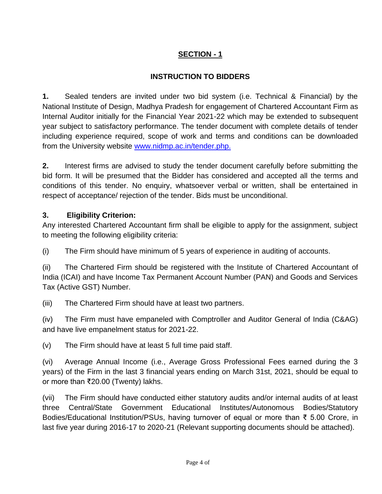## **SECTION - 1**

## **INSTRUCTION TO BIDDERS**

**1.** Sealed tenders are invited under two bid system (i.e. Technical & Financial) by the National Institute of Design, Madhya Pradesh for engagement of Chartered Accountant Firm as Internal Auditor initially for the Financial Year 2021-22 which may be extended to subsequent year subject to satisfactory performance. The tender document with complete details of tender including experience required, scope of work and terms and conditions can be downloaded from the University website [www.nidmp.ac.in/tender.php.](http://www.nidmp.ac.in/tender.php.)

**2.** Interest firms are advised to study the tender document carefully before submitting the bid form. It will be presumed that the Bidder has considered and accepted all the terms and conditions of this tender. No enquiry, whatsoever verbal or written, shall be entertained in respect of acceptance/ rejection of the tender. Bids must be unconditional.

## **3. Eligibility Criterion:**

Any interested Chartered Accountant firm shall be eligible to apply for the assignment, subject to meeting the following eligibility criteria:

(i) The Firm should have minimum of 5 years of experience in auditing of accounts.

(ii) The Chartered Firm should be registered with the Institute of Chartered Accountant of India (ICAI) and have Income Tax Permanent Account Number (PAN) and Goods and Services Tax (Active GST) Number.

(iii) The Chartered Firm should have at least two partners.

(iv) The Firm must have empaneled with Comptroller and Auditor General of India (C&AG) and have live empanelment status for 2021-22.

(v) The Firm should have at least 5 full time paid staff.

(vi) Average Annual Income (i.e., Average Gross Professional Fees earned during the 3 years) of the Firm in the last 3 financial years ending on March 31st, 2021, should be equal to or more than ₹20.00 (Twenty) lakhs.

(vii) The Firm should have conducted either statutory audits and/or internal audits of at least three Central/State Government Educational Institutes/Autonomous Bodies/Statutory Bodies/Educational Institution/PSUs, having turnover of equal or more than ₹ 5.00 Crore, in last five year during 2016-17 to 2020-21 (Relevant supporting documents should be attached).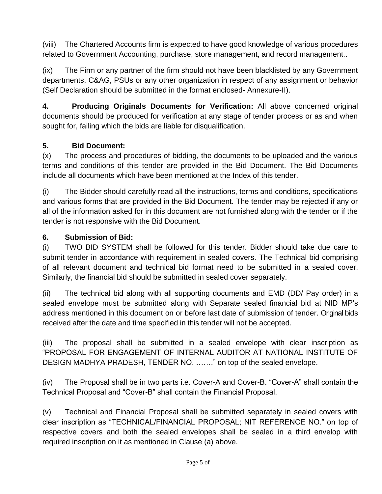(viii) The Chartered Accounts firm is expected to have good knowledge of various procedures related to Government Accounting, purchase, store management, and record management..

(ix) The Firm or any partner of the firm should not have been blacklisted by any Government departments, C&AG, PSUs or any other organization in respect of any assignment or behavior (Self Declaration should be submitted in the format enclosed- Annexure-II).

**4. Producing Originals Documents for Verification:** All above concerned original documents should be produced for verification at any stage of tender process or as and when sought for, failing which the bids are liable for disqualification.

## **5. Bid Document:**

(x) The process and procedures of bidding, the documents to be uploaded and the various terms and conditions of this tender are provided in the Bid Document. The Bid Documents include all documents which have been mentioned at the Index of this tender.

(i) The Bidder should carefully read all the instructions, terms and conditions, specifications and various forms that are provided in the Bid Document. The tender may be rejected if any or all of the information asked for in this document are not furnished along with the tender or if the tender is not responsive with the Bid Document.

## **6. Submission of Bid:**

(i) TWO BID SYSTEM shall be followed for this tender. Bidder should take due care to submit tender in accordance with requirement in sealed covers. The Technical bid comprising of all relevant document and technical bid format need to be submitted in a sealed cover. Similarly, the financial bid should be submitted in sealed cover separately.

(ii) The technical bid along with all supporting documents and EMD (DD/ Pay order) in a sealed envelope must be submitted along with Separate sealed financial bid at NID MP's address mentioned in this document on or before last date of submission of tender. Original bids received after the date and time specified in this tender will not be accepted.

(iii) The proposal shall be submitted in a sealed envelope with clear inscription as "PROPOSAL FOR ENGAGEMENT OF INTERNAL AUDITOR AT NATIONAL INSTITUTE OF DESIGN MADHYA PRADESH, TENDER NO. ……." on top of the sealed envelope.

(iv) The Proposal shall be in two parts i.e. Cover-A and Cover-B. "Cover-A" shall contain the Technical Proposal and "Cover-B" shall contain the Financial Proposal.

(v) Technical and Financial Proposal shall be submitted separately in sealed covers with clear inscription as "TECHNICAL/FINANCIAL PROPOSAL; NIT REFERENCE NO." on top of respective covers and both the sealed envelopes shall be sealed in a third envelop with required inscription on it as mentioned in Clause (a) above.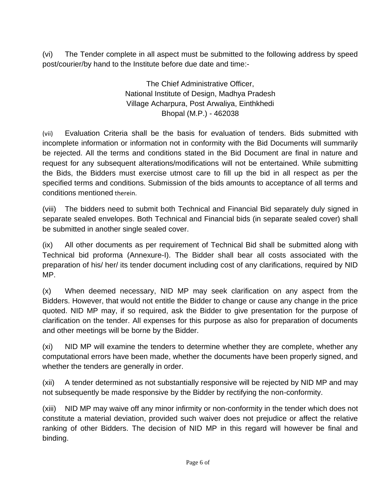(vi) The Tender complete in all aspect must be submitted to the following address by speed post/courier/by hand to the Institute before due date and time:-

> The Chief Administrative Officer, National Institute of Design, Madhya Pradesh Village Acharpura, Post Arwaliya, Einthkhedi Bhopal (M.P.) - 462038

(vii) Evaluation Criteria shall be the basis for evaluation of tenders. Bids submitted with incomplete information or information not in conformity with the Bid Documents will summarily be rejected. All the terms and conditions stated in the Bid Document are final in nature and request for any subsequent alterations/modifications will not be entertained. While submitting the Bids, the Bidders must exercise utmost care to fill up the bid in all respect as per the specified terms and conditions. Submission of the bids amounts to acceptance of all terms and conditions mentioned therein.

(viii) The bidders need to submit both Technical and Financial Bid separately duly signed in separate sealed envelopes. Both Technical and Financial bids (in separate sealed cover) shall be submitted in another single sealed cover.

(ix) All other documents as per requirement of Technical Bid shall be submitted along with Technical bid proforma (Annexure-I). The Bidder shall bear all costs associated with the preparation of his/ her/ its tender document including cost of any clarifications, required by NID MP.

(x) When deemed necessary, NID MP may seek clarification on any aspect from the Bidders. However, that would not entitle the Bidder to change or cause any change in the price quoted. NID MP may, if so required, ask the Bidder to give presentation for the purpose of clarification on the tender. All expenses for this purpose as also for preparation of documents and other meetings will be borne by the Bidder.

(xi) NID MP will examine the tenders to determine whether they are complete, whether any computational errors have been made, whether the documents have been properly signed, and whether the tenders are generally in order.

(xii) A tender determined as not substantially responsive will be rejected by NID MP and may not subsequently be made responsive by the Bidder by rectifying the non-conformity.

(xiii) NID MP may waive off any minor infirmity or non-conformity in the tender which does not constitute a material deviation, provided such waiver does not prejudice or affect the relative ranking of other Bidders. The decision of NID MP in this regard will however be final and binding.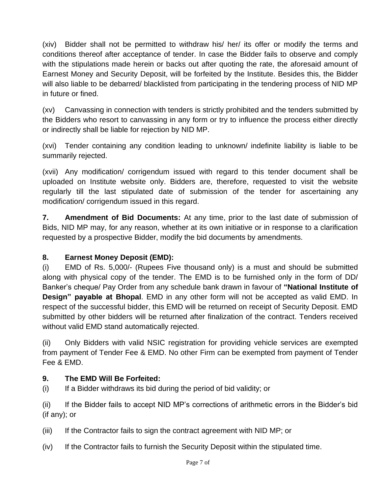(xiv) Bidder shall not be permitted to withdraw his/ her/ its offer or modify the terms and conditions thereof after acceptance of tender. In case the Bidder fails to observe and comply with the stipulations made herein or backs out after quoting the rate, the aforesaid amount of Earnest Money and Security Deposit, will be forfeited by the Institute. Besides this, the Bidder will also liable to be debarred/ blacklisted from participating in the tendering process of NID MP in future or fined.

(xv) Canvassing in connection with tenders is strictly prohibited and the tenders submitted by the Bidders who resort to canvassing in any form or try to influence the process either directly or indirectly shall be liable for rejection by NID MP.

(xvi) Tender containing any condition leading to unknown/ indefinite liability is liable to be summarily rejected.

(xvii) Any modification/ corrigendum issued with regard to this tender document shall be uploaded on Institute website only. Bidders are, therefore, requested to visit the website regularly till the last stipulated date of submission of the tender for ascertaining any modification/ corrigendum issued in this regard.

**7. Amendment of Bid Documents:** At any time, prior to the last date of submission of Bids, NID MP may, for any reason, whether at its own initiative or in response to a clarification requested by a prospective Bidder, modify the bid documents by amendments.

## **8. Earnest Money Deposit (EMD):**

(i) EMD of Rs. 5,000/- (Rupees Five thousand only) is a must and should be submitted along with physical copy of the tender. The EMD is to be furnished only in the form of DD/ Banker's cheque/ Pay Order from any schedule bank drawn in favour of **"National Institute of Design" payable at Bhopal**. EMD in any other form will not be accepted as valid EMD. In respect of the successful bidder, this EMD will be returned on receipt of Security Deposit. EMD submitted by other bidders will be returned after finalization of the contract. Tenders received without valid EMD stand automatically rejected.

(ii) Only Bidders with valid NSIC registration for providing vehicle services are exempted from payment of Tender Fee & EMD. No other Firm can be exempted from payment of Tender Fee & EMD.

## **9. The EMD Will Be Forfeited:**

(i) If a Bidder withdraws its bid during the period of bid validity; or

(ii) If the Bidder fails to accept NID MP's corrections of arithmetic errors in the Bidder's bid (if any); or

(iii) If the Contractor fails to sign the contract agreement with NID MP; or

(iv) If the Contractor fails to furnish the Security Deposit within the stipulated time.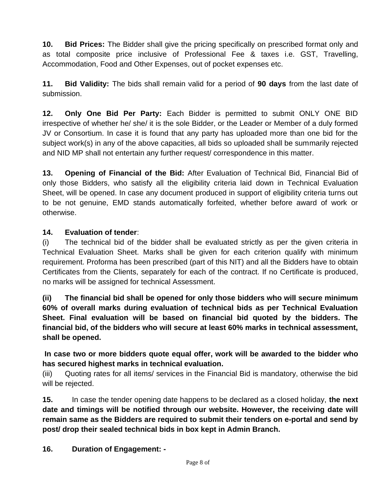**10. Bid Prices:** The Bidder shall give the pricing specifically on prescribed format only and as total composite price inclusive of Professional Fee & taxes i.e. GST, Travelling, Accommodation, Food and Other Expenses, out of pocket expenses etc.

**11. Bid Validity:** The bids shall remain valid for a period of **90 days** from the last date of submission.

**12. Only One Bid Per Party:** Each Bidder is permitted to submit ONLY ONE BID irrespective of whether he/ she/ it is the sole Bidder, or the Leader or Member of a duly formed JV or Consortium. In case it is found that any party has uploaded more than one bid for the subject work(s) in any of the above capacities, all bids so uploaded shall be summarily rejected and NID MP shall not entertain any further request/ correspondence in this matter.

**13. Opening of Financial of the Bid:** After Evaluation of Technical Bid, Financial Bid of only those Bidders, who satisfy all the eligibility criteria laid down in Technical Evaluation Sheet, will be opened. In case any document produced in support of eligibility criteria turns out to be not genuine, EMD stands automatically forfeited, whether before award of work or otherwise.

#### **14. Evaluation of tender**:

(i) The technical bid of the bidder shall be evaluated strictly as per the given criteria in Technical Evaluation Sheet. Marks shall be given for each criterion qualify with minimum requirement. Proforma has been prescribed (part of this NIT) and all the Bidders have to obtain Certificates from the Clients, separately for each of the contract. If no Certificate is produced, no marks will be assigned for technical Assessment.

**(ii) The financial bid shall be opened for only those bidders who will secure minimum 60% of overall marks during evaluation of technical bids as per Technical Evaluation Sheet. Final evaluation will be based on financial bid quoted by the bidders. The financial bid, of the bidders who will secure at least 60% marks in technical assessment, shall be opened.** 

**In case two or more bidders quote equal offer, work will be awarded to the bidder who has secured highest marks in technical evaluation.**

(iii) Quoting rates for all items/ services in the Financial Bid is mandatory, otherwise the bid will be rejected.

**15.** In case the tender opening date happens to be declared as a closed holiday, **the next date and timings will be notified through our website. However, the receiving date will remain same as the Bidders are required to submit their tenders on e-portal and send by post/ drop their sealed technical bids in box kept in Admin Branch.**

**16. Duration of Engagement: -**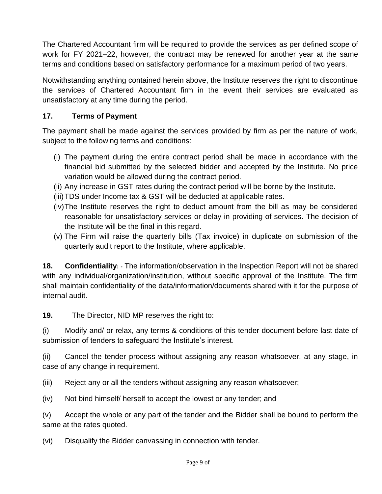The Chartered Accountant firm will be required to provide the services as per defined scope of work for FY 2021–22, however, the contract may be renewed for another year at the same terms and conditions based on satisfactory performance for a maximum period of two years.

Notwithstanding anything contained herein above, the Institute reserves the right to discontinue the services of Chartered Accountant firm in the event their services are evaluated as unsatisfactory at any time during the period.

## **17. Terms of Payment**

The payment shall be made against the services provided by firm as per the nature of work, subject to the following terms and conditions:

- (i) The payment during the entire contract period shall be made in accordance with the financial bid submitted by the selected bidder and accepted by the Institute. No price variation would be allowed during the contract period.
- (ii) Any increase in GST rates during the contract period will be borne by the Institute.
- (iii)TDS under Income tax & GST will be deducted at applicable rates.
- (iv)The Institute reserves the right to deduct amount from the bill as may be considered reasonable for unsatisfactory services or delay in providing of services. The decision of the Institute will be the final in this regard.
- (v) The Firm will raise the quarterly bills (Tax invoice) in duplicate on submission of the quarterly audit report to the Institute, where applicable.

**18. Confidentiality: -** The information/observation in the Inspection Report will not be shared with any individual/organization/institution, without specific approval of the Institute. The firm shall maintain confidentiality of the data/information/documents shared with it for the purpose of internal audit.

**19.** The Director, NID MP reserves the right to:

(i) Modify and/ or relax, any terms & conditions of this tender document before last date of submission of tenders to safeguard the Institute's interest.

(ii) Cancel the tender process without assigning any reason whatsoever, at any stage, in case of any change in requirement.

(iii) Reject any or all the tenders without assigning any reason whatsoever;

(iv) Not bind himself/ herself to accept the lowest or any tender; and

(v) Accept the whole or any part of the tender and the Bidder shall be bound to perform the same at the rates quoted.

(vi) Disqualify the Bidder canvassing in connection with tender.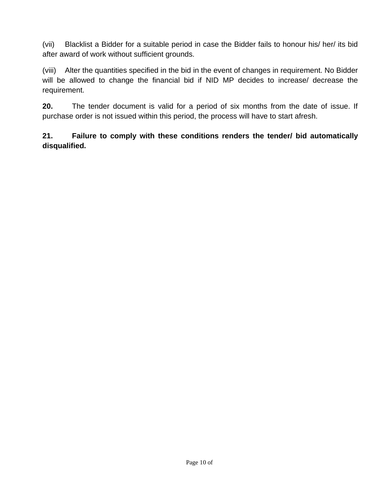(vii) Blacklist a Bidder for a suitable period in case the Bidder fails to honour his/ her/ its bid after award of work without sufficient grounds.

(viii) Alter the quantities specified in the bid in the event of changes in requirement. No Bidder will be allowed to change the financial bid if NID MP decides to increase/ decrease the requirement.

**20.** The tender document is valid for a period of six months from the date of issue. If purchase order is not issued within this period, the process will have to start afresh.

**21. Failure to comply with these conditions renders the tender/ bid automatically disqualified.**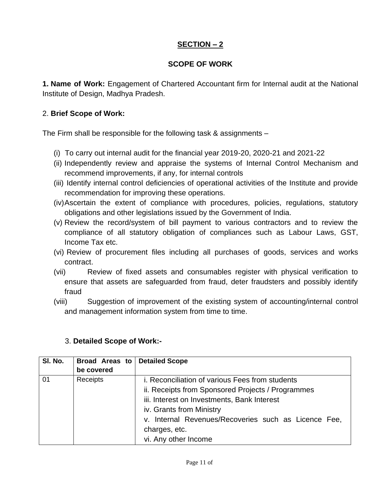## **SECTION – 2**

#### **SCOPE OF WORK**

**1. Name of Work:** Engagement of Chartered Accountant firm for Internal audit at the National Institute of Design, Madhya Pradesh.

#### 2. **Brief Scope of Work:**

The Firm shall be responsible for the following task & assignments –

- (i) To carry out internal audit for the financial year 2019-20, 2020-21 and 2021-22
- (ii) Independently review and appraise the systems of Internal Control Mechanism and recommend improvements, if any, for internal controls
- (iii) Identify internal control deficiencies of operational activities of the Institute and provide recommendation for improving these operations.
- (iv)Ascertain the extent of compliance with procedures, policies, regulations, statutory obligations and other legislations issued by the Government of India.
- (v) Review the record/system of bill payment to various contractors and to review the compliance of all statutory obligation of compliances such as Labour Laws, GST, Income Tax etc.
- (vi) Review of procurement files including all purchases of goods, services and works contract.
- (vii) Review of fixed assets and consumables register with physical verification to ensure that assets are safeguarded from fraud, deter fraudsters and possibly identify fraud
- (viii) Suggestion of improvement of the existing system of accounting/internal control and management information system from time to time.

| 3. Detailed Scope of Work:- |  |  |
|-----------------------------|--|--|
|-----------------------------|--|--|

| SI. No. | Broad Areas to | <b>Detailed Scope</b>                                  |
|---------|----------------|--------------------------------------------------------|
|         | be covered     |                                                        |
| 01      | Receipts       | <i>i.</i> Reconciliation of various Fees from students |
|         |                | ii. Receipts from Sponsored Projects / Programmes      |
|         |                | iii. Interest on Investments, Bank Interest            |
|         |                | iv. Grants from Ministry                               |
|         |                | v. Internal Revenues/Recoveries such as Licence Fee,   |
|         |                | charges, etc.                                          |
|         |                | vi. Any other Income                                   |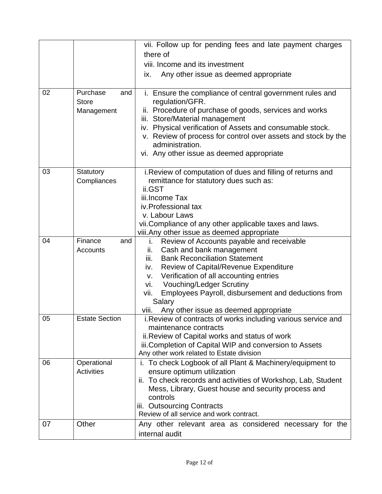|    |                                               | vii. Follow up for pending fees and late payment charges                                                                                                                                                                                                                                                                                                              |
|----|-----------------------------------------------|-----------------------------------------------------------------------------------------------------------------------------------------------------------------------------------------------------------------------------------------------------------------------------------------------------------------------------------------------------------------------|
|    |                                               | there of                                                                                                                                                                                                                                                                                                                                                              |
|    |                                               | viii. Income and its investment                                                                                                                                                                                                                                                                                                                                       |
|    |                                               | Any other issue as deemed appropriate<br>IX.                                                                                                                                                                                                                                                                                                                          |
|    |                                               |                                                                                                                                                                                                                                                                                                                                                                       |
| 02 | Purchase<br>and<br><b>Store</b><br>Management | i. Ensure the compliance of central government rules and<br>regulation/GFR.<br>ii. Procedure of purchase of goods, services and works<br>iii. Store/Material management<br>iv. Physical verification of Assets and consumable stock.<br>v. Review of process for control over assets and stock by the<br>administration.<br>vi. Any other issue as deemed appropriate |
| 03 | Statutory                                     | i. Review of computation of dues and filling of returns and                                                                                                                                                                                                                                                                                                           |
|    | Compliances                                   | remittance for statutory dues such as:<br>ii.GST                                                                                                                                                                                                                                                                                                                      |
|    |                                               | iii.Income Tax                                                                                                                                                                                                                                                                                                                                                        |
|    |                                               | iv.Professional tax                                                                                                                                                                                                                                                                                                                                                   |
|    |                                               | v. Labour Laws                                                                                                                                                                                                                                                                                                                                                        |
|    |                                               | vii. Compliance of any other applicable taxes and laws.                                                                                                                                                                                                                                                                                                               |
|    |                                               | viii. Any other issue as deemed appropriate                                                                                                                                                                                                                                                                                                                           |
| 04 | Finance<br>and                                | Review of Accounts payable and receivable<br>i.                                                                                                                                                                                                                                                                                                                       |
|    | Accounts                                      | Cash and bank management<br>ii.                                                                                                                                                                                                                                                                                                                                       |
|    |                                               | <b>Bank Reconciliation Statement</b><br>iii.                                                                                                                                                                                                                                                                                                                          |
|    |                                               | Review of Capital/Revenue Expenditure<br>iv.<br>Verification of all accounting entries<br>V.                                                                                                                                                                                                                                                                          |
|    |                                               | <b>Vouching/Ledger Scrutiny</b><br>vi.                                                                                                                                                                                                                                                                                                                                |
|    |                                               | Employees Payroll, disbursement and deductions from<br>vii.                                                                                                                                                                                                                                                                                                           |
|    |                                               | Salary                                                                                                                                                                                                                                                                                                                                                                |
|    |                                               | Any other issue as deemed appropriate<br>VIII.                                                                                                                                                                                                                                                                                                                        |
| 05 | <b>Estate Section</b>                         | i. Review of contracts of works including various service and                                                                                                                                                                                                                                                                                                         |
|    |                                               | maintenance contracts                                                                                                                                                                                                                                                                                                                                                 |
|    |                                               | ii. Review of Capital works and status of work                                                                                                                                                                                                                                                                                                                        |
|    |                                               | iii. Completion of Capital WIP and conversion to Assets<br>Any other work related to Estate division                                                                                                                                                                                                                                                                  |
| 06 | Operational                                   | i. To check Logbook of all Plant & Machinery/equipment to                                                                                                                                                                                                                                                                                                             |
|    | Activities                                    | ensure optimum utilization                                                                                                                                                                                                                                                                                                                                            |
|    |                                               | ii. To check records and activities of Workshop, Lab, Student                                                                                                                                                                                                                                                                                                         |
|    |                                               | Mess, Library, Guest house and security process and                                                                                                                                                                                                                                                                                                                   |
|    |                                               | controls                                                                                                                                                                                                                                                                                                                                                              |
|    |                                               | iii. Outsourcing Contracts                                                                                                                                                                                                                                                                                                                                            |
|    |                                               | Review of all service and work contract.                                                                                                                                                                                                                                                                                                                              |
| 07 | Other                                         | Any other relevant area as considered necessary for the                                                                                                                                                                                                                                                                                                               |
|    |                                               | internal audit                                                                                                                                                                                                                                                                                                                                                        |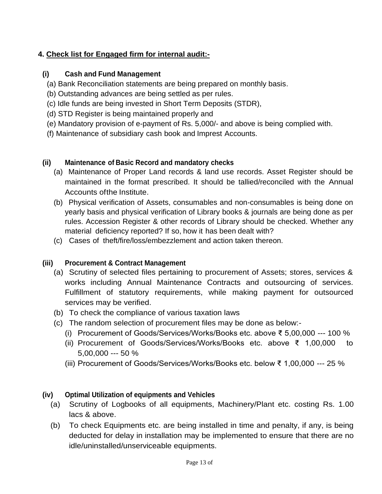## **4. Check list for Engaged firm for internal audit:-**

#### **(i) Cash and Fund Management**

- (a) Bank Reconciliation statements are being prepared on monthly basis.
- (b) Outstanding advances are being settled as per rules.
- (c) Idle funds are being invested in Short Term Deposits (STDR),
- (d) STD Register is being maintained properly and
- (e) Mandatory provision of e-payment of Rs. 5,000/- and above is being complied with.
- (f) Maintenance of subsidiary cash book and Imprest Accounts.

#### **(ii) Maintenance of Basic Record and mandatory checks**

- (a) Maintenance of Proper Land records & land use records. Asset Register should be maintained in the format prescribed. It should be tallied/reconciled with the Annual Accounts ofthe Institute.
- (b) Physical verification of Assets, consumables and non-consumables is being done on yearly basis and physical verification of Library books & journals are being done as per rules. Accession Register & other records of Library should be checked. Whether any material deficiency reported? If so, how it has been dealt with?
- (c) Cases of theft/fire/loss/embezzlement and action taken thereon.

## **(iii) Procurement & Contract Management**

- (a) Scrutiny of selected files pertaining to procurement of Assets; stores, services & works including Annual Maintenance Contracts and outsourcing of services. Fulfillment of statutory requirements, while making payment for outsourced services may be verified.
- (b) To check the compliance of various taxation laws
- (c) The random selection of procurement files may be done as below:-
	- (i) Procurement of Goods/Services/Works/Books etc. above ₹ 5,00,000 --- 100 %
	- (ii) Procurement of Goods/Services/Works/Books etc. above ₹ 1,00,000 to 5,00,000 --- 50 %
	- (iii) Procurement of Goods/Services/Works/Books etc. below ₹ 1,00,000 --- 25 %

## **(iv) Optimal Utilization of equipments and Vehicles**

- (a) Scrutiny of Logbooks of all equipments, Machinery/Plant etc. costing Rs. 1.00 lacs & above.
- (b) To check Equipments etc. are being installed in time and penalty, if any, is being deducted for delay in installation may be implemented to ensure that there are no idle/uninstalled/unserviceable equipments.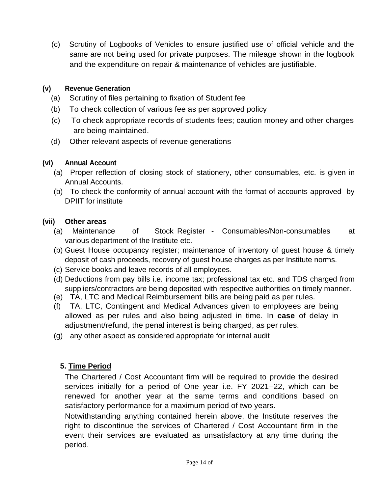(c) Scrutiny of Logbooks of Vehicles to ensure justified use of official vehicle and the same are not being used for private purposes. The mileage shown in the logbook and the expenditure on repair & maintenance of vehicles are justifiable.

#### **(v) Revenue Generation**

- (a) Scrutiny of files pertaining to fixation of Student fee
- (b) To check collection of various fee as per approved policy
- (c) To check appropriate records of students fees; caution money and other charges are being maintained.
- (d) Other relevant aspects of revenue generations

#### **(vi) Annual Account**

- (a) Proper reflection of closing stock of stationery, other consumables, etc. is given in Annual Accounts.
- (b) To check the conformity of annual account with the format of accounts approved by DPIIT for institute

#### **(vii) Other areas**

- (a) Maintenance of Stock Register Consumables/Non-consumables at various department of the Institute etc.
- (b) Guest House occupancy register; maintenance of inventory of guest house & timely deposit of cash proceeds, recovery of guest house charges as per Institute norms.
- (c) Service books and leave records of all employees.
- (d) Deductions from pay bills i.e. income tax; professional tax etc. and TDS charged from suppliers/contractors are being deposited with respective authorities on timely manner.
- (e) TA, LTC and Medical Reimbursement bills are being paid as per rules.
- (f) TA, LTC, Contingent and Medical Advances given to employees are being allowed as per rules and also being adjusted in time. In **case** of delay in adjustment/refund, the penal interest is being charged, as per rules.
- (g) any other aspect as considered appropriate for internal audit

#### **5. Time Period**

The Chartered / Cost Accountant firm will be required to provide the desired services initially for a period of One year i.e. FY 2021–22, which can be renewed for another year at the same terms and conditions based on satisfactory performance for a maximum period of two years.

Notwithstanding anything contained herein above, the Institute reserves the right to discontinue the services of Chartered / Cost Accountant firm in the event their services are evaluated as unsatisfactory at any time during the period.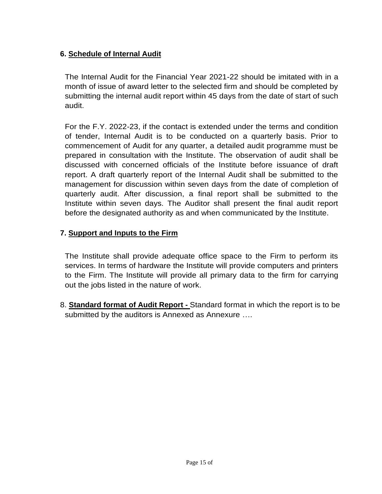## **6. Schedule of Internal Audit**

The Internal Audit for the Financial Year 2021-22 should be imitated with in a month of issue of award letter to the selected firm and should be completed by submitting the internal audit report within 45 days from the date of start of such audit.

For the F.Y. 2022-23, if the contact is extended under the terms and condition of tender, Internal Audit is to be conducted on a quarterly basis. Prior to commencement of Audit for any quarter, a detailed audit programme must be prepared in consultation with the Institute. The observation of audit shall be discussed with concerned officials of the Institute before issuance of draft report. A draft quarterly report of the Internal Audit shall be submitted to the management for discussion within seven days from the date of completion of quarterly audit. After discussion, a final report shall be submitted to the Institute within seven days. The Auditor shall present the final audit report before the designated authority as and when communicated by the Institute.

#### **7. Support and Inputs to the Firm**

The Institute shall provide adequate office space to the Firm to perform its services. In terms of hardware the Institute will provide computers and printers to the Firm. The Institute will provide all primary data to the firm for carrying out the jobs listed in the nature of work.

8. **Standard format of Audit Report -** Standard format in which the report is to be submitted by the auditors is Annexed as Annexure ….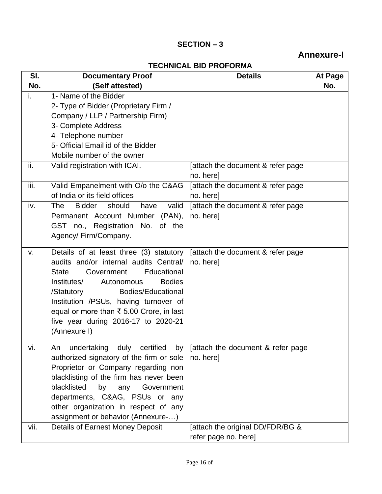## **SECTION – 3**

## **Annexure-I**

## **TECHNICAL BID PROFORMA**

|      | I EUNIUAL DIU FRUFURIJIA                        |                                    |         |  |
|------|-------------------------------------------------|------------------------------------|---------|--|
| SI.  | <b>Documentary Proof</b>                        | <b>Details</b>                     | At Page |  |
| No.  | (Self attested)                                 |                                    | No.     |  |
| i.   | 1- Name of the Bidder                           |                                    |         |  |
|      | 2- Type of Bidder (Proprietary Firm /           |                                    |         |  |
|      | Company / LLP / Partnership Firm)               |                                    |         |  |
|      | 3- Complete Address                             |                                    |         |  |
|      | 4- Telephone number                             |                                    |         |  |
|      | 5- Official Email id of the Bidder              |                                    |         |  |
|      | Mobile number of the owner                      |                                    |         |  |
| ii.  | Valid registration with ICAI.                   | [attach the document & refer page] |         |  |
|      |                                                 | no. here]                          |         |  |
| iii. | Valid Empanelment with O/o the C&AG             | [attach the document & refer page] |         |  |
|      | of India or its field offices                   | no. here]                          |         |  |
| iv.  | <b>Bidder</b><br>should<br>have<br>valid<br>The | [attach the document & refer page] |         |  |
|      | Permanent Account Number (PAN),                 | no. here]                          |         |  |
|      | GST no., Registration No. of the                |                                    |         |  |
|      | Agency/Firm/Company.                            |                                    |         |  |
|      |                                                 |                                    |         |  |
| v.   | Details of at least three (3) statutory         | [attach the document & refer page] |         |  |
|      | audits and/or internal audits Central/          | no. here]                          |         |  |
|      | Educational<br><b>State</b><br>Government       |                                    |         |  |
|      | <b>Bodies</b><br>Institutes/<br>Autonomous      |                                    |         |  |
|      | Bodies/Educational<br>/Statutory                |                                    |         |  |
|      | Institution /PSUs, having turnover of           |                                    |         |  |
|      | equal or more than ₹ 5.00 Crore, in last        |                                    |         |  |
|      | five year during 2016-17 to 2020-21             |                                    |         |  |
|      | (Annexure I)                                    |                                    |         |  |
|      | undertaking duly certified<br>An                |                                    |         |  |
| vi.  | by <sub>1</sub>                                 | [attach the document & refer page  |         |  |
|      | authorized signatory of the firm or sole        | no. here]                          |         |  |
|      | Proprietor or Company regarding non             |                                    |         |  |
|      | blacklisting of the firm has never been         |                                    |         |  |
|      | blacklisted<br>by any<br>Government             |                                    |         |  |
|      | departments, C&AG, PSUs or any                  |                                    |         |  |
|      | other organization in respect of any            |                                    |         |  |
|      | assignment or behavior (Annexure-)              |                                    |         |  |
| vii. | <b>Details of Earnest Money Deposit</b>         | [attach the original DD/FDR/BG &   |         |  |
|      |                                                 | refer page no. here]               |         |  |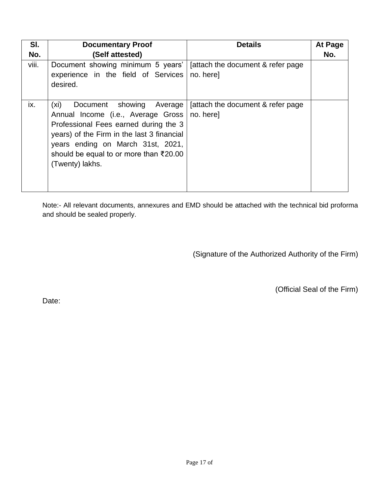| SI.   | <b>Documentary Proof</b>                                                                                                                                                                                                                                          | <b>Details</b>                                | At Page |
|-------|-------------------------------------------------------------------------------------------------------------------------------------------------------------------------------------------------------------------------------------------------------------------|-----------------------------------------------|---------|
| No.   | (Self attested)                                                                                                                                                                                                                                                   |                                               | No.     |
| viii. | Document showing minimum 5 years'<br>experience in the field of Services<br>desired.                                                                                                                                                                              | attach the document & refer page<br>no. here] |         |
| ix.   | Document showing Average<br>(xi)<br>Annual Income (i.e., Average Gross  <br>Professional Fees earned during the 3<br>years) of the Firm in the last 3 financial<br>years ending on March 31st, 2021,<br>should be equal to or more than ₹20.00<br>(Twenty) lakhs. | attach the document & refer page<br>no. here] |         |

Note:- All relevant documents, annexures and EMD should be attached with the technical bid proforma and should be sealed properly.

(Signature of the Authorized Authority of the Firm)

(Official Seal of the Firm)

Date: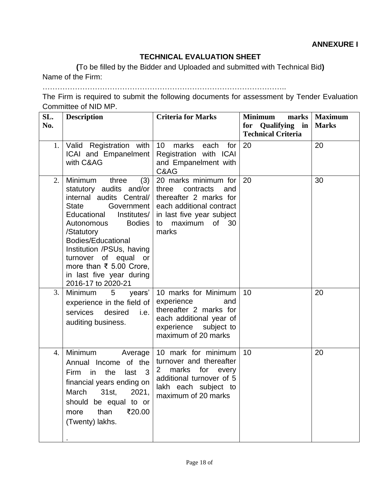#### **TECHNICAL EVALUATION SHEET**

**(**To be filled by the Bidder and Uploaded and submitted with Technical Bid**)** Name of the Firm:

……………………………………………………………………………………..

The Firm is required to submit the following documents for assessment by Tender Evaluation Committee of NID MP.

| SL.<br>No. | <b>Description</b>                                                                                                                                                                                                                                                                                                                                       | <b>Criteria for Marks</b>                                                                                                                                                   | <b>Minimum</b><br>marks<br>for Qualifying in<br><b>Technical Criteria</b> | <b>Maximum</b><br><b>Marks</b> |
|------------|----------------------------------------------------------------------------------------------------------------------------------------------------------------------------------------------------------------------------------------------------------------------------------------------------------------------------------------------------------|-----------------------------------------------------------------------------------------------------------------------------------------------------------------------------|---------------------------------------------------------------------------|--------------------------------|
| 1.         | Valid Registration with<br>ICAI and Empanelment<br>with C&AG                                                                                                                                                                                                                                                                                             | 10 <sup>1</sup><br>marks<br>each<br>for<br>Registration with ICAI<br>and Empanelment with<br>C&AG                                                                           | 20                                                                        | 20                             |
| 2.         | Minimum<br>three<br>(3)<br>statutory audits and/or<br>internal audits Central/<br><b>State</b><br>Government  <br>Educational<br>Institutes/<br><b>Bodies</b><br>Autonomous<br>/Statutory<br><b>Bodies/Educational</b><br>Institution /PSUs, having<br>turnover of equal or<br>more than ₹ 5.00 Crore,<br>in last five year during<br>2016-17 to 2020-21 | 20 marks minimum for<br>three<br>contracts<br>and<br>thereafter 2 marks for<br>each additional contract<br>in last five year subject<br>maximum<br>0f<br>30<br>to<br>marks  | 20                                                                        | 30                             |
| 3.         | Minimum<br>$5^{\circ}$<br>years'<br>experience in the field of<br>desired<br>services<br>i.e.<br>auditing business.                                                                                                                                                                                                                                      | 10 marks for Minimum<br>experience<br>and<br>thereafter 2 marks for<br>each additional year of<br>experience subject to<br>maximum of 20 marks                              | 10                                                                        | 20                             |
| 4.         | Minimum<br>Average<br>Annual Income of the<br>the<br>Firm in<br>last<br>$\overline{\mathbf{3}}$<br>financial years ending on<br>March 31st, 2021,<br>should be equal to or<br>than<br>₹20.00<br>more<br>(Twenty) lakhs.                                                                                                                                  | 10 mark for minimum<br>turnover and thereafter<br>marks<br>for<br>$\mathbf{2}^{\prime}$<br>every<br>additional turnover of 5<br>lakh each subject to<br>maximum of 20 marks | 10                                                                        | 20                             |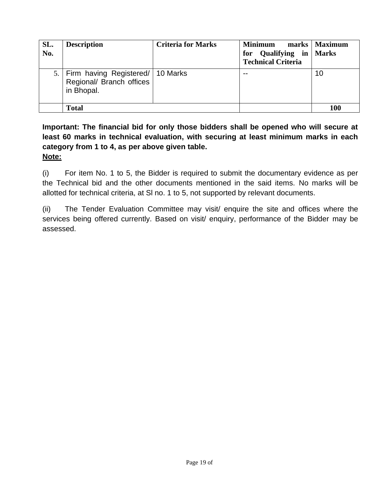| SL.<br>No. | <b>Description</b>                                                                | <b>Criteria for Marks</b> | <b>Minimum</b><br>for Qualifying in Marks<br><b>Technical Criteria</b> | marks   Maximum |
|------------|-----------------------------------------------------------------------------------|---------------------------|------------------------------------------------------------------------|-----------------|
|            | 5.   Firm having Registered/   10 Marks<br>Regional/ Branch offices<br>in Bhopal. |                           | $ -$                                                                   | 10              |
|            | <b>Total</b>                                                                      |                           |                                                                        | 100             |

**Important: The financial bid for only those bidders shall be opened who will secure at least 60 marks in technical evaluation, with securing at least minimum marks in each category from 1 to 4, as per above given table. Note:**

(i) For item No. 1 to 5, the Bidder is required to submit the documentary evidence as per the Technical bid and the other documents mentioned in the said items. No marks will be allotted for technical criteria, at Sl no. 1 to 5, not supported by relevant documents.

(ii) The Tender Evaluation Committee may visit/ enquire the site and offices where the services being offered currently. Based on visit/ enquiry, performance of the Bidder may be assessed.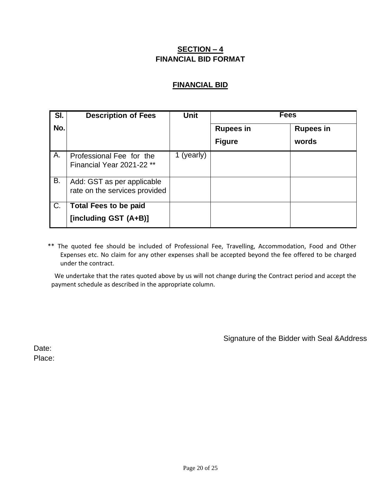#### **SECTION – 4 FINANCIAL BID FORMAT**

#### **FINANCIAL BID**

| SI. | <b>Description of Fees</b>                                  | <b>Unit</b> | Fees             |                  |
|-----|-------------------------------------------------------------|-------------|------------------|------------------|
| No. |                                                             |             | <b>Rupees in</b> | <b>Rupees in</b> |
|     |                                                             |             | <b>Figure</b>    | words            |
| A.  | Professional Fee for the<br>Financial Year 2021-22 **       | 1 (yearly)  |                  |                  |
| B.  | Add: GST as per applicable<br>rate on the services provided |             |                  |                  |
| C.  | <b>Total Fees to be paid</b><br>[including GST (A+B)]       |             |                  |                  |

 \*\* The quoted fee should be included of Professional Fee, Travelling, Accommodation, Food and Other Expenses etc. No claim for any other expenses shall be accepted beyond the fee offered to be charged under the contract.

We undertake that the rates quoted above by us will not change during the Contract period and accept the payment schedule as described in the appropriate column.

Signature of the Bidder with Seal &Address

Date: Place: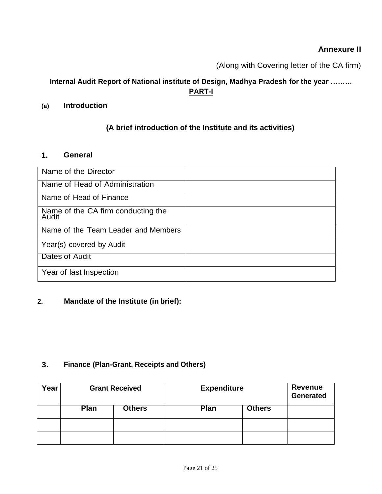## **Annexure II**

(Along with Covering letter of the CA firm)

## **Internal Audit Report of National institute of Design, Madhya Pradesh for the year ……… PART-I**

#### **(a) Introduction**

## **(A brief introduction of the Institute and its activities)**

#### **1. General**

| Name of the Director                        |  |
|---------------------------------------------|--|
| Name of Head of Administration              |  |
| Name of Head of Finance                     |  |
| Name of the CA firm conducting the<br>Audit |  |
| Name of the Team Leader and Members         |  |
| Year(s) covered by Audit                    |  |
| Dates of Audit                              |  |
| Year of last Inspection                     |  |

#### **2. Mandate of the Institute (in brief):**

#### **3. Finance (Plan-Grant, Receipts and Others)**

| Year | <b>Grant Received</b> |               | <b>Expenditure</b> |               | Revenue<br>Generated |
|------|-----------------------|---------------|--------------------|---------------|----------------------|
|      | <b>Plan</b>           | <b>Others</b> | Plan               | <b>Others</b> |                      |
|      |                       |               |                    |               |                      |
|      |                       |               |                    |               |                      |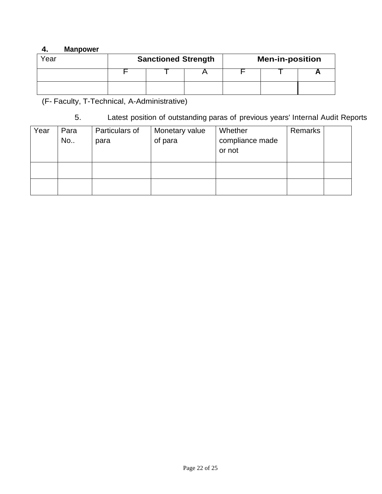## **4. Manpower**

| Year | <b>Sanctioned Strength</b> |  |  | <b>Men-in-position</b> |  |  |  |
|------|----------------------------|--|--|------------------------|--|--|--|
|      |                            |  |  |                        |  |  |  |
|      |                            |  |  |                        |  |  |  |

(F- Faculty, T-Technical, A-Administrative)

| ບ. |  |  |  | Latest position of outstanding paras of previous years' Internal Audit Reports |
|----|--|--|--|--------------------------------------------------------------------------------|
|----|--|--|--|--------------------------------------------------------------------------------|

| Year | Para<br>No | Particulars of<br>para | Monetary value<br>of para | Whether<br>compliance made<br>or not | Remarks |  |
|------|------------|------------------------|---------------------------|--------------------------------------|---------|--|
|      |            |                        |                           |                                      |         |  |
|      |            |                        |                           |                                      |         |  |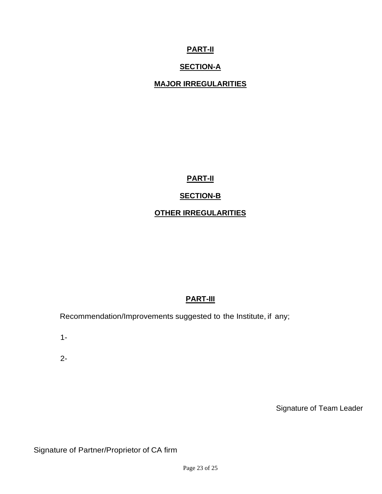## **PART-II**

## **SECTION-A**

## **MAJOR IRREGULARITIES**

**PART-II**

## **SECTION-B**

#### **OTHER IRREGULARITIES**

## **PART-III**

Recommendation/Improvements suggested to the Institute, if any;

1-

2-

Signature of Team Leader

Signature of Partner/Proprietor of CA firm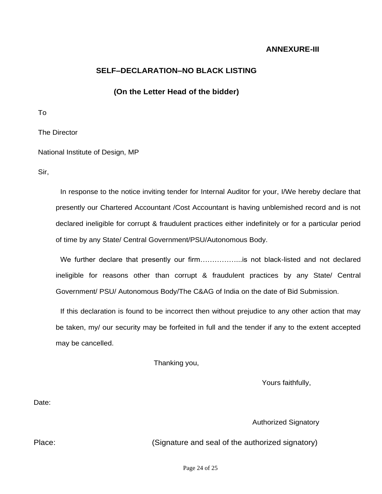#### **ANNEXURE-III**

#### **SELF–DECLARATION–NO BLACK LISTING**

#### **(On the Letter Head of the bidder)**

To

The Director

National Institute of Design, MP

Sir,

In response to the notice inviting tender for Internal Auditor for your, I/We hereby declare that presently our Chartered Accountant /Cost Accountant is having unblemished record and is not declared ineligible for corrupt & fraudulent practices either indefinitely or for a particular period of time by any State/ Central Government/PSU/Autonomous Body.

We further declare that presently our firm……………..is not black-listed and not declared ineligible for reasons other than corrupt & fraudulent practices by any State/ Central Government/ PSU/ Autonomous Body/The C&AG of India on the date of Bid Submission.

If this declaration is found to be incorrect then without prejudice to any other action that may be taken, my/ our security may be forfeited in full and the tender if any to the extent accepted may be cancelled.

Thanking you,

Yours faithfully,

Date:

Authorized Signatory

Place: (Signature and seal of the authorized signatory)